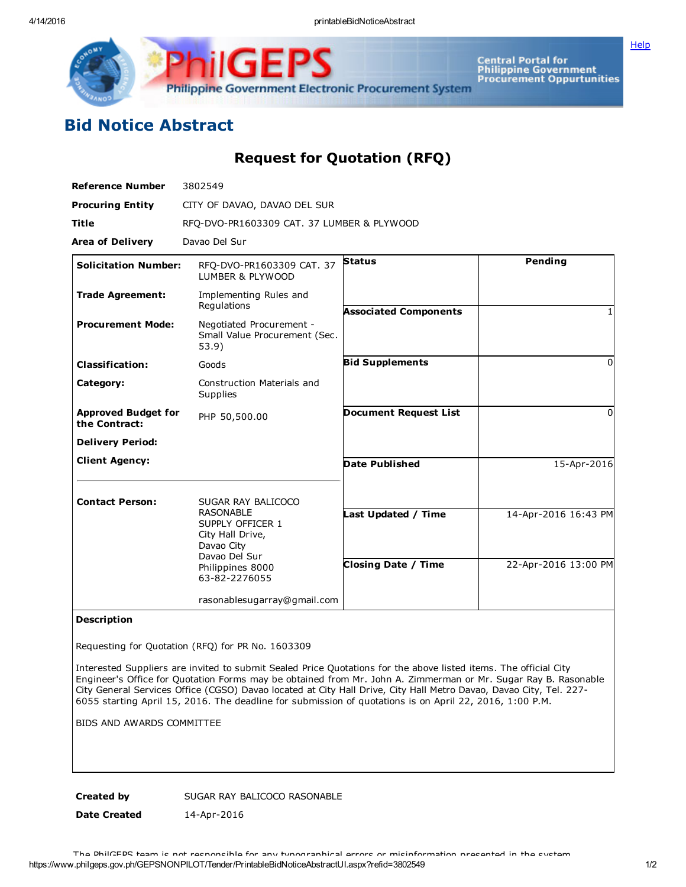IGF **Philippine Government Electronic Procurement System** 

Central Portal for<br>Philippine Government<br>Procurement Oppurtunities

**[Help](javascript:void(window.open()** 

## Bid Notice Abstract

Request for Quotation (RFQ)

| <b>Reference Number</b>                     | 3802549                                                                                 |                              |                      |
|---------------------------------------------|-----------------------------------------------------------------------------------------|------------------------------|----------------------|
| <b>Procuring Entity</b>                     | CITY OF DAVAO, DAVAO DEL SUR                                                            |                              |                      |
| <b>Title</b>                                | RFQ-DVO-PR1603309 CAT. 37 LUMBER & PLYWOOD                                              |                              |                      |
| <b>Area of Delivery</b>                     | Davao Del Sur                                                                           |                              |                      |
| <b>Solicitation Number:</b>                 | RFQ-DVO-PR1603309 CAT. 37<br>LUMBER & PLYWOOD                                           | <b>Status</b>                | Pending              |
| <b>Trade Agreement:</b>                     | Implementing Rules and<br>Regulations                                                   | <b>Associated Components</b> |                      |
| <b>Procurement Mode:</b>                    | Negotiated Procurement -<br>Small Value Procurement (Sec.<br>53.9)                      |                              |                      |
| <b>Classification:</b>                      | Goods                                                                                   | <b>Bid Supplements</b>       | 0                    |
| Category:                                   | Construction Materials and<br>Supplies                                                  |                              |                      |
| <b>Approved Budget for</b><br>the Contract: | PHP 50,500.00                                                                           | <b>Document Request List</b> | O                    |
| <b>Delivery Period:</b>                     |                                                                                         |                              |                      |
| <b>Client Agency:</b>                       |                                                                                         | <b>Date Published</b>        | 15-Apr-2016          |
| <b>Contact Person:</b>                      | SUGAR RAY BALICOCO                                                                      |                              |                      |
|                                             | <b>RASONABLE</b><br>SUPPLY OFFICER 1<br>City Hall Drive,<br>Davao City<br>Davao Del Sur | Last Updated / Time          | 14-Apr-2016 16:43 PM |
|                                             | Philippines 8000<br>63-82-2276055                                                       | <b>Closing Date / Time</b>   | 22-Apr-2016 13:00 PM |
|                                             | rasonablesugarray@gmail.com                                                             |                              |                      |

## Description

Requesting for Quotation (RFQ) for PR No. 1603309

Interested Suppliers are invited to submit Sealed Price Quotations for the above listed items. The official City Engineer's Office for Quotation Forms may be obtained from Mr. John A. Zimmerman or Mr. Sugar Ray B. Rasonable City General Services Office (CGSO) Davao located at City Hall Drive, City Hall Metro Davao, Davao City, Tel. 227 6055 starting April 15, 2016. The deadline for submission of quotations is on April 22, 2016, 1:00 P.M.

BIDS AND AWARDS COMMITTEE

Created by SUGAR RAY BALICOCO RASONABLE

Date Created 14-Apr-2016

https://www.philgeps.gov.ph/GEPSNONPILOT/Tender/PrintableBidNoticeAbstractUI.aspx?refid=3802549 1/2 The PhilGEPS team is not responsible for any typographical errors or misinformation presented in the system.